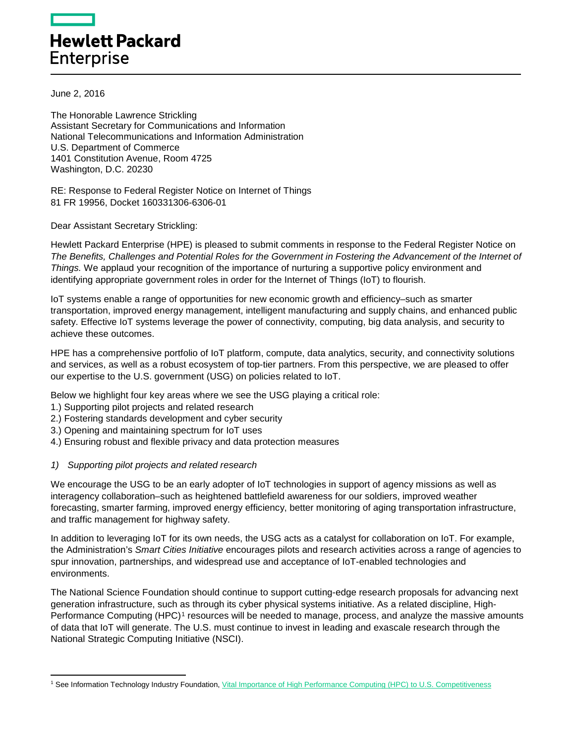# **Hewlett Packard Enterprise**

June 2, 2016

 $\overline{\phantom{a}}$ 

The Honorable Lawrence Strickling Assistant Secretary for Communications and Information National Telecommunications and Information Administration U.S. Department of Commerce 1401 Constitution Avenue, Room 4725 Washington, D.C. 20230

RE: Response to Federal Register Notice on Internet of Things 81 FR 19956, Docket 160331306-6306-01

## Dear Assistant Secretary Strickling:

Hewlett Packard Enterprise (HPE) is pleased to submit comments in response to the Federal Register Notice on *The Benefits, Challenges and Potential Roles for the Government in Fostering the Advancement of the Internet of Things.* We applaud your recognition of the importance of nurturing a supportive policy environment and identifying appropriate government roles in order for the Internet of Things (IoT) to flourish.

IoT systems enable a range of opportunities for new economic growth and efficiency–such as smarter transportation, improved energy management, intelligent manufacturing and supply chains, and enhanced public safety. Effective IoT systems leverage the power of connectivity, computing, big data analysis, and security to achieve these outcomes.

HPE has a comprehensive portfolio of IoT platform, compute, data analytics, security, and connectivity solutions and services, as well as a robust ecosystem of top-tier partners. From this perspective, we are pleased to offer our expertise to the U.S. government (USG) on policies related to IoT.

Below we highlight four key areas where we see the USG playing a critical role:

- 1.) Supporting pilot projects and related research
- 2.) Fostering standards development and cyber security
- 3.) Opening and maintaining spectrum for IoT uses
- 4.) Ensuring robust and flexible privacy and data protection measures

## *1) Supporting pilot projects and related research*

We encourage the USG to be an early adopter of IoT technologies in support of agency missions as well as interagency collaboration–such as heightened battlefield awareness for our soldiers, improved weather forecasting, smarter farming, improved energy efficiency, better monitoring of aging transportation infrastructure, and traffic management for highway safety.

In addition to leveraging IoT for its own needs, the USG acts as a catalyst for collaboration on IoT. For example, the Administration's *Smart Cities Initiative* encourages pilots and research activities across a range of agencies to spur innovation, partnerships, and widespread use and acceptance of IoT-enabled technologies and environments.

The National Science Foundation should continue to support cutting-edge research proposals for advancing next generation infrastructure, such as through its cyber physical systems initiative. As a related discipline, High-Performance Computing (HPC)<sup>[1](#page-0-0)</sup> resources will be needed to manage, process, and analyze the massive amounts of data that IoT will generate. The U.S. must continue to invest in leading and exascale research through the National Strategic Computing Initiative (NSCI).

<span id="page-0-0"></span><sup>1</sup> See Information Technology Industry Foundation[, Vital Importance of High Performance Computing \(HPC\) to U.S. Competitiveness](https://itif.org/publications/2016/04/28/vital-importance-high-performance-computing-us-competitiveness)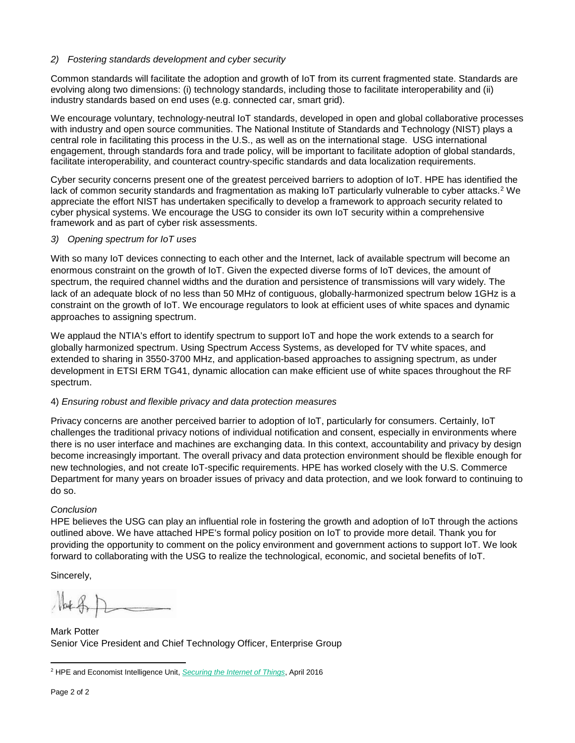## *2) Fostering standards development and cyber security*

Common standards will facilitate the adoption and growth of IoT from its current fragmented state. Standards are evolving along two dimensions: (i) technology standards, including those to facilitate interoperability and (ii) industry standards based on end uses (e.g. connected car, smart grid).

We encourage voluntary, technology-neutral IoT standards, developed in open and global collaborative processes with industry and open source communities. The National Institute of Standards and Technology (NIST) plays a central role in facilitating this process in the U.S., as well as on the international stage. USG international engagement, through standards fora and trade policy, will be important to facilitate adoption of global standards, facilitate interoperability, and counteract country-specific standards and data localization requirements.

Cyber security concerns present one of the greatest perceived barriers to adoption of IoT. HPE has identified the lack of common security standards and fragmentation as making IoT particularly vulnerable to cyber attacks.<sup>[2](#page-1-0)</sup> We appreciate the effort NIST has undertaken specifically to develop a framework to approach security related to cyber physical systems. We encourage the USG to consider its own IoT security within a comprehensive framework and as part of cyber risk assessments.

## *3) Opening spectrum for IoT uses*

With so many IoT devices connecting to each other and the Internet, lack of available spectrum will become an enormous constraint on the growth of IoT. Given the expected diverse forms of IoT devices, the amount of spectrum, the required channel widths and the duration and persistence of transmissions will vary widely. The lack of an adequate block of no less than 50 MHz of contiguous, globally-harmonized spectrum below 1GHz is a constraint on the growth of IoT. We encourage regulators to look at efficient uses of white spaces and dynamic approaches to assigning spectrum.

We applaud the NTIA's effort to identify spectrum to support IoT and hope the work extends to a search for globally harmonized spectrum. Using Spectrum Access Systems, as developed for TV white spaces, and extended to sharing in 3550-3700 MHz, and application-based approaches to assigning spectrum, as under development in ETSI ERM TG41, dynamic allocation can make efficient use of white spaces throughout the RF spectrum.

## 4) *Ensuring robust and flexible privacy and data protection measures*

Privacy concerns are another perceived barrier to adoption of IoT, particularly for consumers. Certainly, IoT challenges the traditional privacy notions of individual notification and consent, especially in environments where there is no user interface and machines are exchanging data. In this context, accountability and privacy by design become increasingly important. The overall privacy and data protection environment should be flexible enough for new technologies, and not create IoT-specific requirements. HPE has worked closely with the U.S. Commerce Department for many years on broader issues of privacy and data protection, and we look forward to continuing to do so.

## *Conclusion*

HPE believes the USG can play an influential role in fostering the growth and adoption of IoT through the actions outlined above. We have attached HPE's formal policy position on IoT to provide more detail. Thank you for providing the opportunity to comment on the policy environment and government actions to support IoT. We look forward to collaborating with the USG to realize the technological, economic, and societal benefits of IoT.

Sincerely,

Mark Potter Senior Vice President and Chief Technology Officer, Enterprise Group

<span id="page-1-0"></span>l <sup>2</sup> HPE and Economist Intelligence Unit, *[Securing the Internet of Things](http://hpe-enterpriseforward.com/eiu-securing-iot/)*, April 2016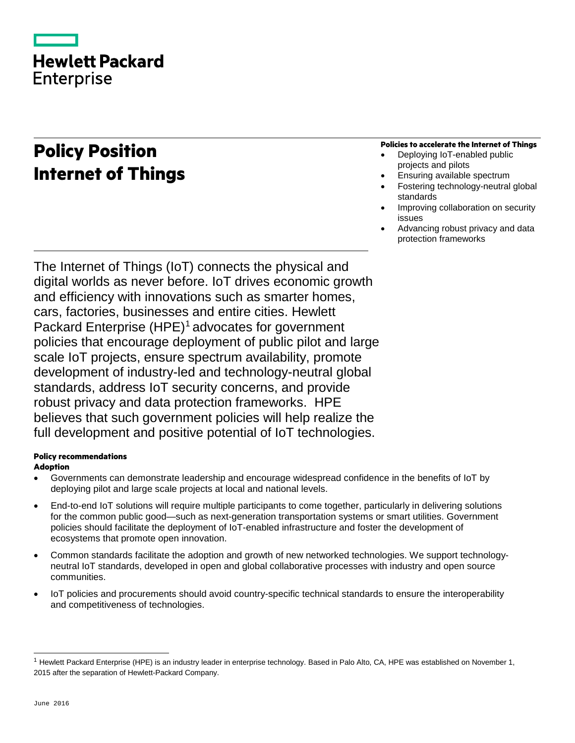|                   | <b>Hewlett Packard</b> |
|-------------------|------------------------|
| <b>Enterprise</b> |                        |

## **Policy Position Internet of Things**

## **Policies to accelerate the Internet of Things**

- Deploying IoT-enabled public projects and pilots
- Ensuring available spectrum
- Fostering technology-neutral global standards
- Improving collaboration on security issues
- Advancing robust privacy and data protection frameworks

The Internet of Things (IoT) connects the physical and digital worlds as never before. IoT drives economic growth and efficiency with innovations such as smarter homes, cars, factories, businesses and entire cities. Hewlett Packard Enterprise (HPE)<sup>[1](#page-2-0)</sup> advocates for government policies that encourage deployment of public pilot and large scale IoT projects, ensure spectrum availability, promote development of industry-led and technology-neutral global standards, address IoT security concerns, and provide robust privacy and data protection frameworks. HPE believes that such government policies will help realize the full development and positive potential of IoT technologies.

## **Policy recommendations**

## **Adoption**

- Governments can demonstrate leadership and encourage widespread confidence in the benefits of IoT by deploying pilot and large scale projects at local and national levels.
- End-to-end IoT solutions will require multiple participants to come together, particularly in delivering solutions for the common public good—such as next-generation transportation systems or smart utilities. Government policies should facilitate the deployment of IoT-enabled infrastructure and foster the development of ecosystems that promote open innovation.
- Common standards facilitate the adoption and growth of new networked technologies. We support technologyneutral IoT standards, developed in open and global collaborative processes with industry and open source communities.
- IoT policies and procurements should avoid country-specific technical standards to ensure the interoperability and competitiveness of technologies.

<span id="page-2-0"></span><sup>&</sup>lt;sup>1</sup> Hewlett Packard Enterprise (HPE) is an industry leader in enterprise technology. Based in Palo Alto, CA, HPE was established on November 1, 2015 after the separation of Hewlett-Packard Company.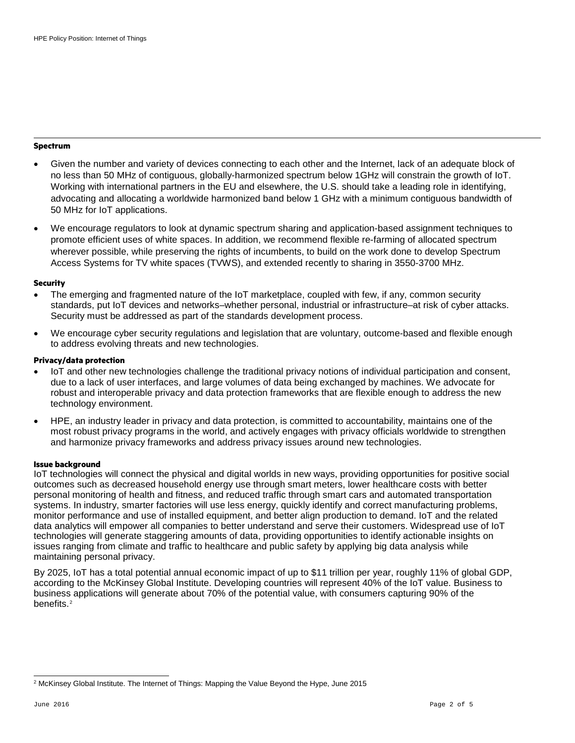#### **Spectrum**

- Given the number and variety of devices connecting to each other and the Internet, lack of an adequate block of no less than 50 MHz of contiguous, globally-harmonized spectrum below 1GHz will constrain the growth of IoT. Working with international partners in the EU and elsewhere, the U.S. should take a leading role in identifying, advocating and allocating a worldwide harmonized band below 1 GHz with a minimum contiguous bandwidth of 50 MHz for IoT applications.
- We encourage regulators to look at dynamic spectrum sharing and application-based assignment techniques to promote efficient uses of white spaces. In addition, we recommend flexible re-farming of allocated spectrum wherever possible, while preserving the rights of incumbents, to build on the work done to develop Spectrum Access Systems for TV white spaces (TVWS), and extended recently to sharing in 3550-3700 MHz.

#### **Security**

- The emerging and fragmented nature of the IoT marketplace, coupled with few, if any, common security standards, put IoT devices and networks–whether personal, industrial or infrastructure–at risk of cyber attacks. Security must be addressed as part of the standards development process.
- We encourage cyber security regulations and legislation that are voluntary, outcome-based and flexible enough to address evolving threats and new technologies.

#### **Privacy/data protection**

- IoT and other new technologies challenge the traditional privacy notions of individual participation and consent, due to a lack of user interfaces, and large volumes of data being exchanged by machines. We advocate for robust and interoperable privacy and data protection frameworks that are flexible enough to address the new technology environment.
- HPE, an industry leader in privacy and data protection, is committed to accountability, maintains one of the most robust privacy programs in the world, and actively engages with privacy officials worldwide to strengthen and harmonize privacy frameworks and address privacy issues around new technologies.

#### **Issue background**

IoT technologies will connect the physical and digital worlds in new ways, providing opportunities for positive social outcomes such as decreased household energy use through smart meters, lower healthcare costs with better personal monitoring of health and fitness, and reduced traffic through smart cars and automated transportation systems. In industry, smarter factories will use less energy, quickly identify and correct manufacturing problems, monitor performance and use of installed equipment, and better align production to demand. IoT and the related data analytics will empower all companies to better understand and serve their customers. Widespread use of IoT technologies will generate staggering amounts of data, providing opportunities to identify actionable insights on issues ranging from climate and traffic to healthcare and public safety by applying big data analysis while maintaining personal privacy.

By 2025, IoT has a total potential annual economic impact of up to \$11 trillion per year, roughly 11% of global GDP, according to the McKinsey Global Institute. Developing countries will represent 40% of the IoT value. Business to business applications will generate about 70% of the potential value, with consumers capturing 90% of the benefits.<sup>[2](#page-3-0)</sup>

<span id="page-3-0"></span> <sup>2</sup> McKinsey Global Institute. The Internet of Things: Mapping the Value Beyond the Hype, June 2015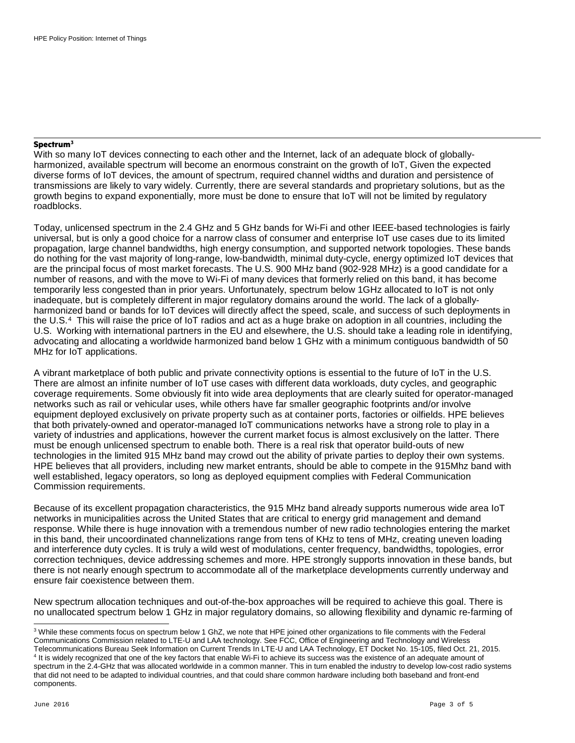#### **Spectrum[3](#page-4-0)**

With so many IoT devices connecting to each other and the Internet, lack of an adequate block of globallyharmonized, available spectrum will become an enormous constraint on the growth of IoT, Given the expected diverse forms of IoT devices, the amount of spectrum, required channel widths and duration and persistence of transmissions are likely to vary widely. Currently, there are several standards and proprietary solutions, but as the growth begins to expand exponentially, more must be done to ensure that IoT will not be limited by regulatory roadblocks.

Today, unlicensed spectrum in the 2.4 GHz and 5 GHz bands for Wi-Fi and other IEEE-based technologies is fairly universal, but is only a good choice for a narrow class of consumer and enterprise IoT use cases due to its limited propagation, large channel bandwidths, high energy consumption, and supported network topologies. These bands do nothing for the vast majority of long-range, low-bandwidth, minimal duty-cycle, energy optimized IoT devices that are the principal focus of most market forecasts. The U.S. 900 MHz band (902-928 MHz) is a good candidate for a number of reasons, and with the move to Wi-Fi of many devices that formerly relied on this band, it has become temporarily less congested than in prior years. Unfortunately, spectrum below 1GHz allocated to IoT is not only inadequate, but is completely different in major regulatory domains around the world. The lack of a globallyharmonized band or bands for IoT devices will directly affect the speed, scale, and success of such deployments in the U.S.[4](#page-4-1) This will raise the price of IoT radios and act as a huge brake on adoption in all countries, including the U.S. Working with international partners in the EU and elsewhere, the U.S. should take a leading role in identifying, advocating and allocating a worldwide harmonized band below 1 GHz with a minimum contiguous bandwidth of 50 MHz for IoT applications.

A vibrant marketplace of both public and private connectivity options is essential to the future of IoT in the U.S. There are almost an infinite number of IoT use cases with different data workloads, duty cycles, and geographic coverage requirements. Some obviously fit into wide area deployments that are clearly suited for operator-managed networks such as rail or vehicular uses, while others have far smaller geographic footprints and/or involve equipment deployed exclusively on private property such as at container ports, factories or oilfields. HPE believes that both privately-owned and operator-managed IoT communications networks have a strong role to play in a variety of industries and applications, however the current market focus is almost exclusively on the latter. There must be enough unlicensed spectrum to enable both. There is a real risk that operator build-outs of new technologies in the limited 915 MHz band may crowd out the ability of private parties to deploy their own systems. HPE believes that all providers, including new market entrants, should be able to compete in the 915Mhz band with well established, legacy operators, so long as deployed equipment complies with Federal Communication Commission requirements.

Because of its excellent propagation characteristics, the 915 MHz band already supports numerous wide area IoT networks in municipalities across the United States that are critical to energy grid management and demand response. While there is huge innovation with a tremendous number of new radio technologies entering the market in this band, their uncoordinated channelizations range from tens of KHz to tens of MHz, creating uneven loading and interference duty cycles. It is truly a wild west of modulations, center frequency, bandwidths, topologies, error correction techniques, device addressing schemes and more. HPE strongly supports innovation in these bands, but there is not nearly enough spectrum to accommodate all of the marketplace developments currently underway and ensure fair coexistence between them.

New spectrum allocation techniques and out-of-the-box approaches will be required to achieve this goal. There is no unallocated spectrum below 1 GHz in major regulatory domains, so allowing flexibility and dynamic re-farming of

components.

<span id="page-4-1"></span><span id="page-4-0"></span> <sup>3</sup> While these comments focus on spectrum below 1 GhZ, we note that HPE joined other organizations to file comments with the Federal Communications Commission related to LTE-U and LAA technology. See FCC, Office of Engineering and Technology and Wireless<br>Telecommunications Bureau Seek Information on Current Trends In LTE-U and LAA Technology, ET Docket <sup>4</sup> It is widely recognized that one of the key factors that enable Wi-Fi to achieve its success was the existence of an adequate amount of spectrum in the 2.4-GHz that was allocated worldwide in a common manner. This in turn enabled the industry to develop low-cost radio systems that did not need to be adapted to individual countries, and that could share common hardware including both baseband and front-end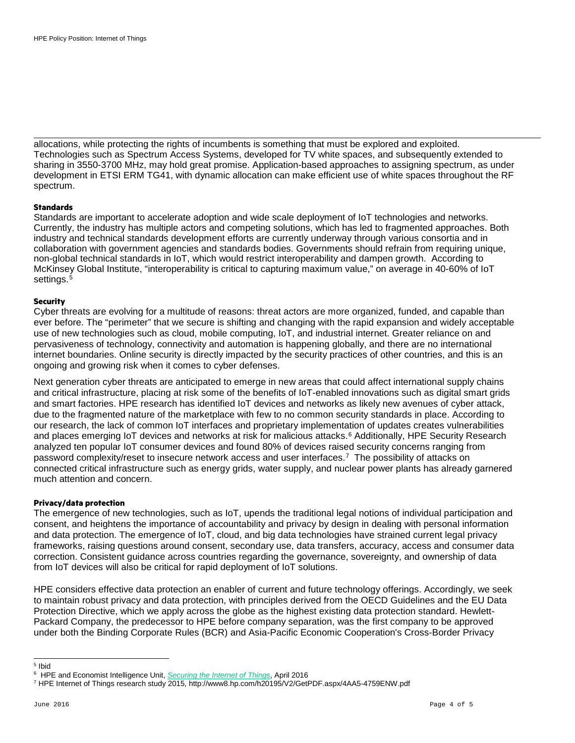allocations, while protecting the rights of incumbents is something that must be explored and exploited. Technologies such as Spectrum Access Systems, developed for TV white spaces, and subsequently extended to sharing in 3550-3700 MHz, may hold great promise. Application-based approaches to assigning spectrum, as under development in ETSI ERM TG41, with dynamic allocation can make efficient use of white spaces throughout the RF spectrum.

## **Standards**

Standards are important to accelerate adoption and wide scale deployment of IoT technologies and networks. Currently, the industry has multiple actors and competing solutions, which has led to fragmented approaches. Both industry and technical standards development efforts are currently underway through various consortia and in collaboration with government agencies and standards bodies. Governments should refrain from requiring unique, non-global technical standards in IoT, which would restrict interoperability and dampen growth. According to McKinsey Global Institute, "interoperability is critical to capturing maximum value," on average in 40-60% of IoT settings.<sup>[5](#page-5-0)</sup>

#### **Security**

Cyber threats are evolving for a multitude of reasons: threat actors are more organized, funded, and capable than ever before. The "perimeter" that we secure is shifting and changing with the rapid expansion and widely acceptable use of new technologies such as cloud, mobile computing, IoT, and industrial internet. Greater reliance on and pervasiveness of technology, connectivity and automation is happening globally, and there are no international internet boundaries. Online security is directly impacted by the security practices of other countries, and this is an ongoing and growing risk when it comes to cyber defenses.

Next generation cyber threats are anticipated to emerge in new areas that could affect international supply chains and critical infrastructure, placing at risk some of the benefits of IoT-enabled innovations such as digital smart grids and smart factories. HPE research has identified IoT devices and networks as likely new avenues of cyber attack, due to the fragmented nature of the marketplace with few to no common security standards in place. According to our research, the lack of common IoT interfaces and proprietary implementation of updates creates vulnerabilities and places emerging IoT devices and networks at risk for malicious attacks.<sup>[6](#page-5-1)</sup> Additionally, HPE Security Research analyzed ten popular IoT consumer devices and found 80% of devices raised security concerns ranging from password complexity/reset to insecure network access and user interfaces.[7](#page-5-2) The possibility of attacks on connected critical infrastructure such as energy grids, water supply, and nuclear power plants has already garnered much attention and concern.

#### **Privacy/data protection**

The emergence of new technologies, such as IoT, upends the traditional legal notions of individual participation and consent, and heightens the importance of accountability and privacy by design in dealing with personal information and data protection. The emergence of IoT, cloud, and big data technologies have strained current legal privacy frameworks, raising questions around consent, secondary use, data transfers, accuracy, access and consumer data correction. Consistent guidance across countries regarding the governance, sovereignty, and ownership of data from IoT devices will also be critical for rapid deployment of IoT solutions.

HPE considers effective data protection an enabler of current and future technology offerings. Accordingly, we seek to maintain robust privacy and data protection, with principles derived from the OECD Guidelines and the EU Data Protection Directive, which we apply across the globe as the highest existing data protection standard. Hewlett-Packard Company, the predecessor to HPE before company separation, was the first company to be approved under both the Binding Corporate Rules (BCR) and Asia-Pacific Economic Cooperation's Cross-Border Privacy

<span id="page-5-0"></span> <sup>5</sup> Ibid

<span id="page-5-1"></span><sup>6</sup> HPE and Economist Intelligence Unit, *[Securing the Internet of Things](http://hpe-enterpriseforward.com/eiu-securing-iot/)*, April 2016

<span id="page-5-2"></span><sup>7</sup> HPE Internet of Things research study 2015, http://www8.hp.com/h20195/V2/GetPDF.aspx/4AA5-4759ENW.pdf